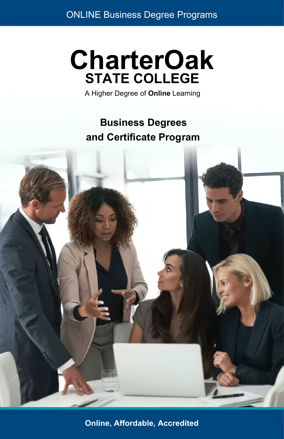# **CharterOak STATE COLLEGE**

A Higher Degree of **Online** Learning

**Business Degrees and Certificate Program**



**Online, Affordable, Accredited**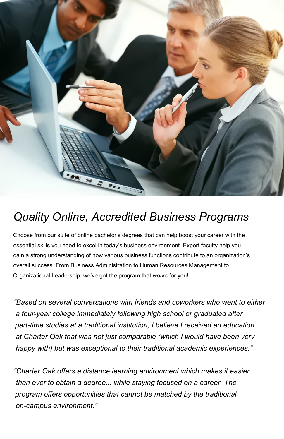

## *Quality Online, Accredited Business Programs*

Choose from our suite of online bachelor's degrees that can help boost your career with the essential skills you need to excel in today's business environment. Expert faculty help you gain a strong understanding of how various business functions contribute to an organization's overall success. From Business Administration to Human Resources Management to Organizational Leadership, we've got the program that *works* for you!

*"Based on several conversations with friends and coworkers who went to either a four-year college immediately following high school or graduated after part-time studies at a traditional institution, I believe I received an education at Charter Oak that was not just comparable (which I would have been very happy with) but was exceptional to their traditional academic experiences."*

*"Charter Oak offers a distance learning environment which makes it easier than ever to obtain a degree... while staying focused on a career. The program offers opportunities that cannot be matched by the traditional on-campus environment."*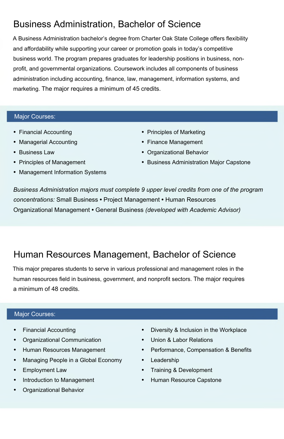## Business Administration, Bachelor of Science

A Business Administration bachelor's degree from Charter Oak State College offers flexibility and affordability while supporting your career or promotion goals in today's competitive business world. The program prepares graduates for leadership positions in business, nonprofit, and governmental organizations. Coursework includes all components of business administration including accounting, finance, law, management, information systems, and marketing. The major requires a minimum of 45 credits.

#### Major Courses:

- **•** Financial Accounting
- **•** Managerial Accounting
- **•** Business Law
- **•** Principles of Management
- **•** Management Information Systems
- **•** Principles of Marketing
- **•** Finance Management
- **•** Organizational Behavior
- **•** Business Administration Major Capstone

*Business Administration majors must complete 9 upper level credits from one of the program concentrations:* Small Business **•** Project Management **•** Human Resources Organizational Management **•** General Business *(developed with Academic Advisor)*

### Human Resources Management, Bachelor of Science

This major prepares students to serve in various professional and management roles in the human resources field in business, government, and nonprofit sectors. The major requires a minimum of 48 credits.

#### Major Courses:

- **•** Financial Accounting
- **•** Organizational Communication
- **•** Human Resources Management
- **•** Managing People in a Global Economy
- **•** Employment Law
- **•** Introduction to Management
- **•** Organizational Behavior
- **•** Diversity & Inclusion in the Workplace
- **•** Union & Labor Relations
- **•** Performance, Compensation & Benefits
- **•** Leadership
- **•** Training & Development
- **•** Human Resource Capstone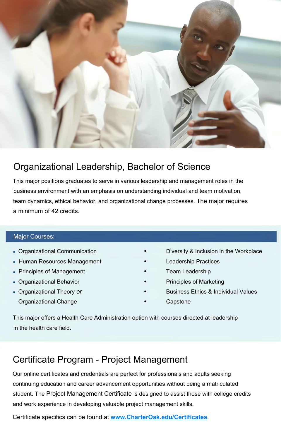

## Organizational Leadership, Bachelor of Science

This major positions graduates to serve in various leadership and management roles in the business environment with an emphasis on understanding individual and team motivation, team dynamics, ethical behavior, and organizational change processes. The major requires a minimum of 42 credits.

#### Major Courses:

- Organizational Communication
- Human Resources Management
- Principles of Management
- Organizational Behavior
- Organizational Theory *or* Organizational Change
- **•** Diversity & Inclusion in the Workplace
- **•** Leadership Practices
- **•** Team Leadership
- **•** Principles of Marketing
- **•** Business Ethics & Individual Values
	- **•** Capstone

This major offers a Health Care Administration option with courses directed at leadership in the health care field.

### Certificate Program - Project Management

Our online certificates and credentials are perfect for professionals and adults seeking continuing education and career advancement opportunities without being a matriculated student. The Project Management Certificate is designed to assist those with college credits and work experience in developing valuable project management skills.

Certificate specifics can be found at **[www.CharterOak.edu/Certificates](http://www.CharterOak.edu/Certificates)**.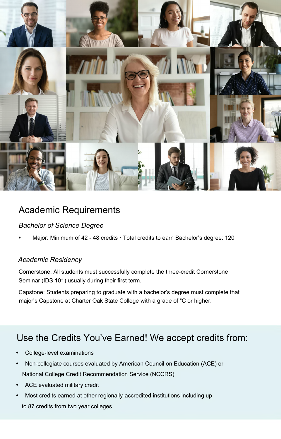

## Academic Requirements

#### *Bachelor of Science Degree*

**•** Major: Minimum of 42 - 48 credits **·** Total credits to earn Bachelor's degree: 120

#### *Academic Residency*

Cornerstone: All students must successfully complete the three-credit Cornerstone Seminar (IDS 101) usually during their first term.

Capstone: Students preparing to graduate with a bachelor's degree must complete that major's Capstone at Charter Oak State College with a grade of "C or higher.

### Use the Credits You've Earned! We accept credits from:

- **•** College-level examinations
- **•** Non-collegiate courses evaluated by American Council on Education (ACE) or National College Credit Recommendation Service (NCCRS)
- **•** ACE evaluated military credit
- **•** Most credits earned at other regionally-accredited institutions including up to 87 credits from two year colleges